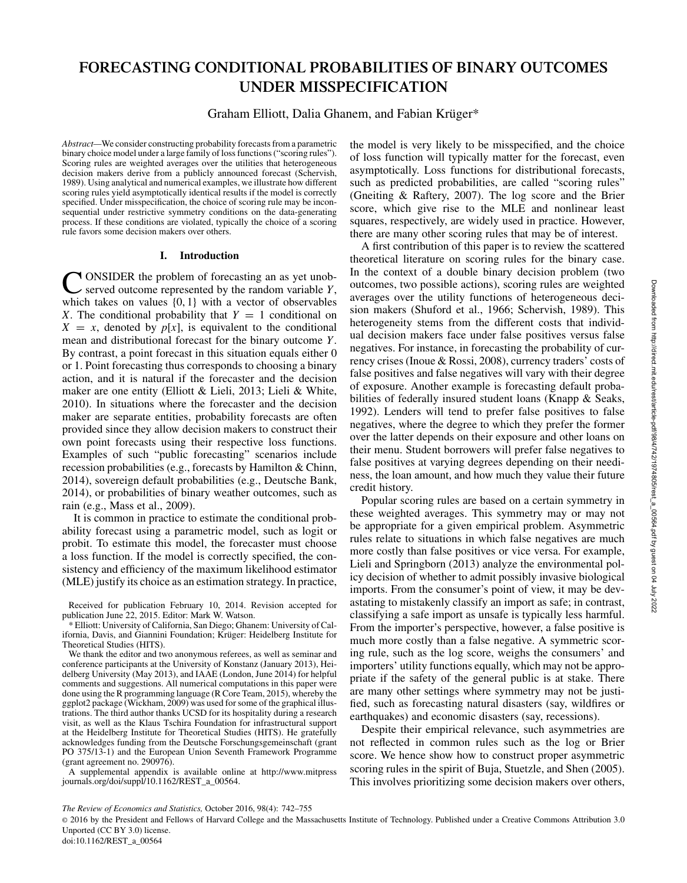# **FORECASTING CONDITIONAL PROBABILITIES OF BINARY OUTCOMES UNDER MISSPECIFICATION**

Graham Elliott, Dalia Ghanem, and Fabian Krüger\*

*Abstract—*We consider constructing probability forecasts from a parametric binary choice model under a large family of loss functions ("scoring rules"). Scoring rules are weighted averages over the utilities that heterogeneous decision makers derive from a publicly announced forecast (Schervish, 1989). Using analytical and numerical examples, we illustrate how different scoring rules yield asymptotically identical results if the model is correctly specified. Under misspecification, the choice of scoring rule may be inconsequential under restrictive symmetry conditions on the data-generating process. If these conditions are violated, typically the choice of a scoring rule favors some decision makers over others.

# **I. Introduction**

C ONSIDER the problem of forecasting an as yet unob-served outcome represented by the random variable *Y*, which takes on values {0, 1} with a vector of observables *X*. The conditional probability that  $Y = 1$  conditional on  $X = x$ , denoted by  $p[x]$ , is equivalent to the conditional mean and distributional forecast for the binary outcome *Y*. By contrast, a point forecast in this situation equals either 0 or 1. Point forecasting thus corresponds to choosing a binary action, and it is natural if the forecaster and the decision maker are one entity (Elliott & Lieli, 2013; Lieli & White, 2010). In situations where the forecaster and the decision maker are separate entities, probability forecasts are often provided since they allow decision makers to construct their own point forecasts using their respective loss functions. Examples of such "public forecasting" scenarios include recession probabilities (e.g., forecasts by Hamilton & Chinn, 2014), sovereign default probabilities (e.g., Deutsche Bank, 2014), or probabilities of binary weather outcomes, such as rain (e.g., Mass et al., 2009).

It is common in practice to estimate the conditional probability forecast using a parametric model, such as logit or probit. To estimate this model, the forecaster must choose a loss function. If the model is correctly specified, the consistency and efficiency of the maximum likelihood estimator (MLE) justify its choice as an estimation strategy. In practice,

A supplemental appendix is available online at http://www.mitpress journals.org/doi/suppl/10.1162/REST\_a\_00564.

the model is very likely to be misspecified, and the choice of loss function will typically matter for the forecast, even asymptotically. Loss functions for distributional forecasts, such as predicted probabilities, are called "scoring rules" (Gneiting & Raftery, 2007). The log score and the Brier score, which give rise to the MLE and nonlinear least squares, respectively, are widely used in practice. However, there are many other scoring rules that may be of interest.

A first contribution of this paper is to review the scattered theoretical literature on scoring rules for the binary case. In the context of a double binary decision problem (two outcomes, two possible actions), scoring rules are weighted averages over the utility functions of heterogeneous decision makers (Shuford et al., 1966; Schervish, 1989). This heterogeneity stems from the different costs that individual decision makers face under false positives versus false negatives. For instance, in forecasting the probability of currency crises (Inoue & Rossi, 2008), currency traders' costs of false positives and false negatives will vary with their degree of exposure. Another example is forecasting default probabilities of federally insured student loans (Knapp & Seaks, 1992). Lenders will tend to prefer false positives to false negatives, where the degree to which they prefer the former over the latter depends on their exposure and other loans on their menu. Student borrowers will prefer false negatives to false positives at varying degrees depending on their neediness, the loan amount, and how much they value their future credit history.

Popular scoring rules are based on a certain symmetry in these weighted averages. This symmetry may or may not be appropriate for a given empirical problem. Asymmetric rules relate to situations in which false negatives are much more costly than false positives or vice versa. For example, Lieli and Springborn (2013) analyze the environmental policy decision of whether to admit possibly invasive biological imports. From the consumer's point of view, it may be devastating to mistakenly classify an import as safe; in contrast, classifying a safe import as unsafe is typically less harmful. From the importer's perspective, however, a false positive is much more costly than a false negative. A symmetric scoring rule, such as the log score, weighs the consumers' and importers' utility functions equally, which may not be appropriate if the safety of the general public is at stake. There are many other settings where symmetry may not be justified, such as forecasting natural disasters (say, wildfires or earthquakes) and economic disasters (say, recessions).

Despite their empirical relevance, such asymmetries are not reflected in common rules such as the log or Brier score. We hence show how to construct proper asymmetric scoring rules in the spirit of Buja, Stuetzle, and Shen (2005). This involves prioritizing some decision makers over others,

© 2016 by the President and Fellows of Harvard College and the Massachusetts Institute of Technology. Published under a Creative Commons Attribution 3.0 Unported (CC BY 3.0) license.

Received for publication February 10, 2014. Revision accepted for publication June 22, 2015. Editor: Mark W. Watson.

<sup>\*</sup> Elliott: University of California, San Diego; Ghanem: University of California, Davis, and Giannini Foundation; Krüger: Heidelberg Institute for Theoretical Studies (HITS).

We thank the editor and two anonymous referees, as well as seminar and conference participants at the University of Konstanz (January 2013), Heidelberg University (May 2013), and IAAE (London, June 2014) for helpful comments and suggestions. All numerical computations in this paper were done using the R programming language (R Core Team, 2015), whereby the ggplot2 package (Wickham, 2009) was used for some of the graphical illustrations. The third author thanks UCSD for its hospitality during a research visit, as well as the Klaus Tschira Foundation for infrastructural support at the Heidelberg Institute for Theoretical Studies (HITS). He gratefully acknowledges funding from the Deutsche Forschungsgemeinschaft (grant PO 375/13-1) and the European Union Seventh Framework Programme (grant agreement no.  $290976$ ).

*The Review of Economics and Statistics,* October 2016, 98(4): 742–755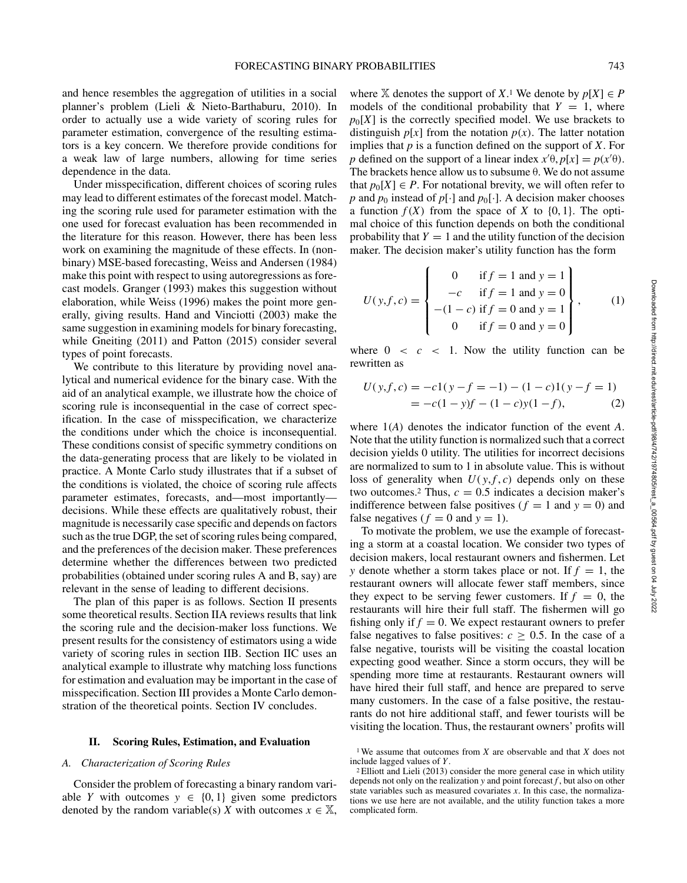and hence resembles the aggregation of utilities in a social planner's problem (Lieli & Nieto-Barthaburu, 2010). In order to actually use a wide variety of scoring rules for parameter estimation, convergence of the resulting estimators is a key concern. We therefore provide conditions for a weak law of large numbers, allowing for time series dependence in the data.

Under misspecification, different choices of scoring rules may lead to different estimates of the forecast model. Matching the scoring rule used for parameter estimation with the one used for forecast evaluation has been recommended in the literature for this reason. However, there has been less work on examining the magnitude of these effects. In (nonbinary) MSE-based forecasting, Weiss and Andersen (1984) make this point with respect to using autoregressions as forecast models. Granger (1993) makes this suggestion without elaboration, while Weiss (1996) makes the point more generally, giving results. Hand and Vinciotti (2003) make the same suggestion in examining models for binary forecasting, while Gneiting (2011) and Patton (2015) consider several types of point forecasts.

We contribute to this literature by providing novel analytical and numerical evidence for the binary case. With the aid of an analytical example, we illustrate how the choice of scoring rule is inconsequential in the case of correct specification. In the case of misspecification, we characterize the conditions under which the choice is inconsequential. These conditions consist of specific symmetry conditions on the data-generating process that are likely to be violated in practice. A Monte Carlo study illustrates that if a subset of the conditions is violated, the choice of scoring rule affects parameter estimates, forecasts, and—most importantly decisions. While these effects are qualitatively robust, their magnitude is necessarily case specific and depends on factors such as the true DGP, the set of scoring rules being compared, and the preferences of the decision maker. These preferences determine whether the differences between two predicted probabilities (obtained under scoring rules A and B, say) are relevant in the sense of leading to different decisions.

The plan of this paper is as follows. Section II presents some theoretical results. Section IIA reviews results that link the scoring rule and the decision-maker loss functions. We present results for the consistency of estimators using a wide variety of scoring rules in section IIB. Section IIC uses an analytical example to illustrate why matching loss functions for estimation and evaluation may be important in the case of misspecification. Section III provides a Monte Carlo demonstration of the theoretical points. Section IV concludes.

## **II. Scoring Rules, Estimation, and Evaluation**

# *A. Characterization of Scoring Rules*

Consider the problem of forecasting a binary random variable *Y* with outcomes  $y \in \{0, 1\}$  given some predictors denoted by the random variable(s) *X* with outcomes  $x \in \mathbb{X}$ ,

where  $X$  denotes the support of *X*.<sup>1</sup> We denote by  $p[X] \in P$ models of the conditional probability that  $Y = 1$ , where  $p_0[X]$  is the correctly specified model. We use brackets to distinguish  $p[x]$  from the notation  $p(x)$ . The latter notation implies that *p* is a function defined on the support of *X*. For *p* defined on the support of a linear index  $x^{\prime}\theta$ ,  $p[x] = p(x^{\prime}\theta)$ . The brackets hence allow us to subsume θ. We do not assume that  $p_0[X] \in P$ . For notational brevity, we will often refer to *p* and  $p_0$  instead of  $p[\cdot]$  and  $p_0[\cdot]$ . A decision maker chooses a function  $f(X)$  from the space of X to  $\{0, 1\}$ . The optimal choice of this function depends on both the conditional probability that  $Y = 1$  and the utility function of the decision maker. The decision maker's utility function has the form

$$
U(y, f, c) = \begin{cases} 0 & \text{if } f = 1 \text{ and } y = 1 \\ -c & \text{if } f = 1 \text{ and } y = 0 \\ -(1 - c) & \text{if } f = 0 \text{ and } y = 1 \\ 0 & \text{if } f = 0 \text{ and } y = 0 \end{cases}
$$
(1)

where  $0 \lt c \lt 1$ . Now the utility function can be rewritten as

$$
U(y, f, c) = -c1(y - f = -1) - (1 - c)1(y - f = 1)
$$
  
= -c(1 - y)f - (1 - c)y(1 - f), (2)

where 1*(A)* denotes the indicator function of the event *A*. Note that the utility function is normalized such that a correct decision yields 0 utility. The utilities for incorrect decisions are normalized to sum to 1 in absolute value. This is without loss of generality when  $U(y, f, c)$  depends only on these two outcomes.<sup>2</sup> Thus,  $c = 0.5$  indicates a decision maker's indifference between false positives ( $f = 1$  and  $y = 0$ ) and false negatives ( $f = 0$  and  $y = 1$ ).

To motivate the problem, we use the example of forecasting a storm at a coastal location. We consider two types of decision makers, local restaurant owners and fishermen. Let *y* denote whether a storm takes place or not. If  $f = 1$ , the restaurant owners will allocate fewer staff members, since they expect to be serving fewer customers. If  $f = 0$ , the restaurants will hire their full staff. The fishermen will go fishing only if  $f = 0$ . We expect restaurant owners to prefer false negatives to false positives:  $c > 0.5$ . In the case of a false negative, tourists will be visiting the coastal location expecting good weather. Since a storm occurs, they will be spending more time at restaurants. Restaurant owners will have hired their full staff, and hence are prepared to serve many customers. In the case of a false positive, the restaurants do not hire additional staff, and fewer tourists will be visiting the location. Thus, the restaurant owners' profits will

<sup>1</sup> We assume that outcomes from *X* are observable and that *X* does not include lagged values of *Y*.

<sup>2</sup> Elliott and Lieli (2013) consider the more general case in which utility depends not only on the realization  $y$  and point forecast  $f$ , but also on other state variables such as measured covariates *x*. In this case, the normalizations we use here are not available, and the utility function takes a more complicated form.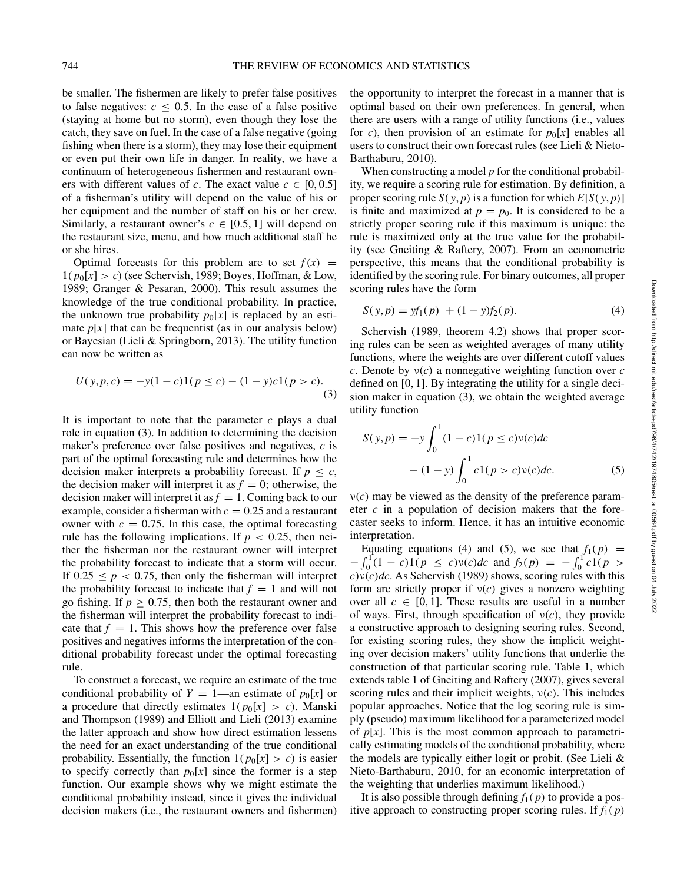be smaller. The fishermen are likely to prefer false positives to false negatives:  $c \leq 0.5$ . In the case of a false positive (staying at home but no storm), even though they lose the catch, they save on fuel. In the case of a false negative (going fishing when there is a storm), they may lose their equipment or even put their own life in danger. In reality, we have a continuum of heterogeneous fishermen and restaurant owners with different values of *c*. The exact value  $c \in [0, 0.5]$ of a fisherman's utility will depend on the value of his or her equipment and the number of staff on his or her crew. Similarly, a restaurant owner's  $c \in [0.5, 1]$  will depend on the restaurant size, menu, and how much additional staff he or she hires.

Optimal forecasts for this problem are to set  $f(x)$  =  $1(p_0[x] > c)$  (see Schervish, 1989; Boyes, Hoffman, & Low, 1989; Granger & Pesaran, 2000). This result assumes the knowledge of the true conditional probability. In practice, the unknown true probability  $p_0[x]$  is replaced by an estimate  $p[x]$  that can be frequentist (as in our analysis below) or Bayesian (Lieli & Springborn, 2013). The utility function can now be written as

$$
U(y, p, c) = -y(1 - c)1(p \le c) - (1 - y)c1(p > c).
$$
\n(3)

It is important to note that the parameter *c* plays a dual role in equation (3). In addition to determining the decision maker's preference over false positives and negatives, *c* is part of the optimal forecasting rule and determines how the decision maker interprets a probability forecast. If  $p \leq c$ , the decision maker will interpret it as  $f = 0$ ; otherwise, the decision maker will interpret it as  $f = 1$ . Coming back to our example, consider a fisherman with  $c = 0.25$  and a restaurant owner with  $c = 0.75$ . In this case, the optimal forecasting rule has the following implications. If  $p < 0.25$ , then neither the fisherman nor the restaurant owner will interpret the probability forecast to indicate that a storm will occur. If  $0.25 \le p < 0.75$ , then only the fisherman will interpret the probability forecast to indicate that  $f = 1$  and will not go fishing. If  $p \geq 0.75$ , then both the restaurant owner and the fisherman will interpret the probability forecast to indicate that  $f = 1$ . This shows how the preference over false positives and negatives informs the interpretation of the conditional probability forecast under the optimal forecasting rule.

To construct a forecast, we require an estimate of the true conditional probability of  $Y = 1$ —an estimate of  $p_0[x]$  or a procedure that directly estimates  $1(p_0[x] > c)$ . Manski and Thompson (1989) and Elliott and Lieli (2013) examine the latter approach and show how direct estimation lessens the need for an exact understanding of the true conditional probability. Essentially, the function  $1(p_0[x] > c)$  is easier to specify correctly than  $p_0[x]$  since the former is a step function. Our example shows why we might estimate the conditional probability instead, since it gives the individual decision makers (i.e., the restaurant owners and fishermen)

the opportunity to interpret the forecast in a manner that is optimal based on their own preferences. In general, when there are users with a range of utility functions (i.e., values for *c*), then provision of an estimate for  $p_0[x]$  enables all users to construct their own forecast rules (see Lieli & Nieto-Barthaburu, 2010).

When constructing a model *p* for the conditional probability, we require a scoring rule for estimation. By definition, a proper scoring rule *S*( $y$ ,  $p$ ) is a function for which  $E[S(y, p)]$ is finite and maximized at  $p = p_0$ . It is considered to be a strictly proper scoring rule if this maximum is unique: the rule is maximized only at the true value for the probability (see Gneiting & Raftery, 2007). From an econometric perspective, this means that the conditional probability is identified by the scoring rule. For binary outcomes, all proper scoring rules have the form

$$
S(y, p) = yf_1(p) + (1 - y)f_2(p).
$$
 (4)

Schervish (1989, theorem 4.2) shows that proper scoring rules can be seen as weighted averages of many utility functions, where the weights are over different cutoff values *c*. Denote by ν*(c)* a nonnegative weighting function over *c* defined on [0, 1]. By integrating the utility for a single decision maker in equation (3), we obtain the weighted average utility function

$$
S(y,p) = -y \int_0^1 (1-c)1(p \le c)v(c)dc
$$
  
 
$$
- (1-y) \int_0^1 c1(p > c)v(c)dc.
$$
 (5)

 $\nu(c)$  may be viewed as the density of the preference parameter *c* in a population of decision makers that the forecaster seeks to inform. Hence, it has an intuitive economic interpretation.

Equating equations (4) and (5), we see that  $f_1(p)$  =  $-\int_0^1 (1 - c)1(p \le c)v(c)dc$  and  $f_2(p) = -\int_0^1 c1(p > c)$  $c)$ ν $(c)$ *dc*. As Schervish (1989) shows, scoring rules with this form are strictly proper if ν*(c)* gives a nonzero weighting over all  $c \in [0, 1]$ . These results are useful in a number of ways. First, through specification of ν*(c)*, they provide a constructive approach to designing scoring rules. Second, for existing scoring rules, they show the implicit weighting over decision makers' utility functions that underlie the construction of that particular scoring rule. Table 1, which extends table 1 of Gneiting and Raftery (2007), gives several scoring rules and their implicit weights, ν*(c)*. This includes popular approaches. Notice that the log scoring rule is simply (pseudo) maximum likelihood for a parameterized model of  $p[x]$ . This is the most common approach to parametrically estimating models of the conditional probability, where the models are typically either logit or probit. (See Lieli & Nieto-Barthaburu, 2010, for an economic interpretation of the weighting that underlies maximum likelihood.)

It is also possible through defining  $f_1(p)$  to provide a positive approach to constructing proper scoring rules. If  $f_1(p)$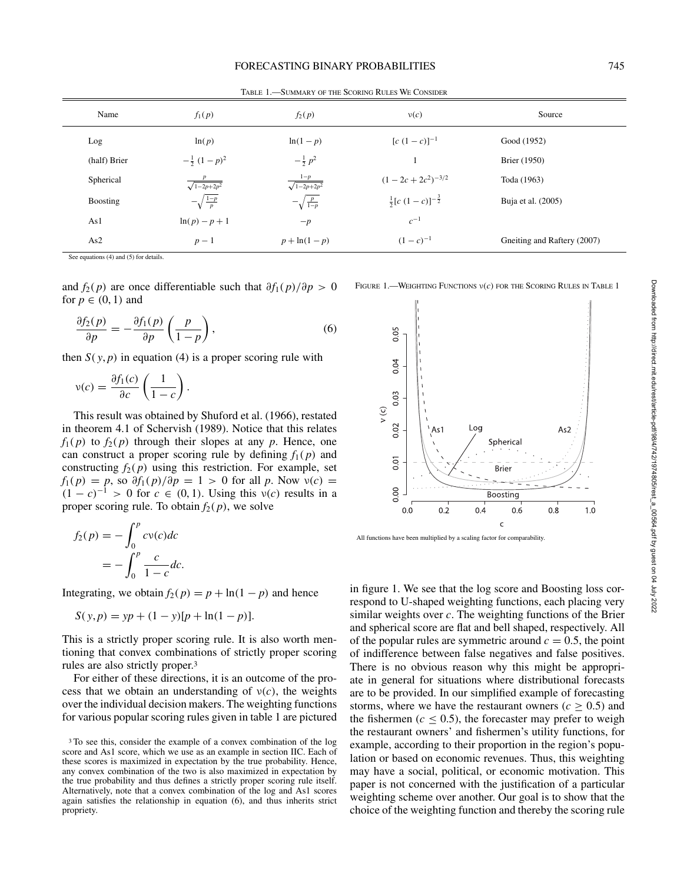| Name         | $f_1(p)$                     | $f_2(p)$                       | $\nu(c)$                               | Source                      |
|--------------|------------------------------|--------------------------------|----------------------------------------|-----------------------------|
| Log          | ln(p)                        | $ln(1-p)$                      | $[c (1 - c)]^{-1}$                     | Good (1952)                 |
| (half) Brier | $-\frac{1}{2}(1-p)^2$        | $-\frac{1}{2}p^2$              | 1                                      | Brier (1950)                |
| Spherical    | $\frac{p}{\sqrt{1-2p+2p^2}}$ | $\frac{1-p}{\sqrt{1-2p+2p^2}}$ | $(1 - 2c + 2c^2)^{-3/2}$               | Toda (1963)                 |
| Boosting     | $-\sqrt{\frac{1-p}{p}}$      | $-\sqrt{\frac{p}{1-p}}$        | $\frac{1}{2} [c (1-c)]^{-\frac{3}{2}}$ | Buja et al. (2005)          |
| As1          | $ln(p) - p + 1$              | $-p$                           | $c^{-1}$                               |                             |
| As2          | $p-1$                        | $p + \ln(1-p)$                 | $(1-c)^{-1}$                           | Gneiting and Raftery (2007) |
|              |                              |                                |                                        |                             |

Table 1.—Summary of the Scoring Rules We Consider

See equations (4) and (5) for details.

and  $f_2(p)$  are once differentiable such that  $\partial f_1(p)/\partial p > 0$ for  $p \in (0, 1)$  and

$$
\frac{\partial f_2(p)}{\partial p} = -\frac{\partial f_1(p)}{\partial p} \left( \frac{p}{1-p} \right),\tag{6}
$$

then  $S(y, p)$  in equation (4) is a proper scoring rule with

$$
\nu(c) = \frac{\partial f_1(c)}{\partial c} \left( \frac{1}{1 - c} \right).
$$

This result was obtained by Shuford et al. (1966), restated in theorem 4.1 of Schervish (1989). Notice that this relates  $f_1(p)$  to  $f_2(p)$  through their slopes at any *p*. Hence, one can construct a proper scoring rule by defining  $f_1(p)$  and constructing  $f_2(p)$  using this restriction. For example, set  $f_1(p) = p$ , so  $\partial f_1(p)/\partial p = 1 > 0$  for all *p*. Now  $v(c) =$  $(1 - c)^{-1} > 0$  for  $c \in (0, 1)$ . Using this  $v(c)$  results in a proper scoring rule. To obtain  $f_2(p)$ , we solve

$$
f_2(p) = -\int_0^p c v(c) dc
$$
  
= 
$$
-\int_0^p \frac{c}{1-c} dc.
$$

Integrating, we obtain  $f_2(p) = p + \ln(1 - p)$  and hence

$$
S(y, p) = yp + (1 - y)[p + \ln(1 - p)].
$$

This is a strictly proper scoring rule. It is also worth mentioning that convex combinations of strictly proper scoring rules are also strictly proper.3

For either of these directions, it is an outcome of the process that we obtain an understanding of  $v(c)$ , the weights over the individual decision makers. The weighting functions for various popular scoring rules given in table 1 are pictured



Figure 1.—Weighting Functions ν*(c)* for the Scoring Rules in Table 1

All functions have been multiplied by a scaling factor for comparability.

in figure 1. We see that the log score and Boosting loss correspond to U-shaped weighting functions, each placing very similar weights over *c*. The weighting functions of the Brier and spherical score are flat and bell shaped, respectively. All of the popular rules are symmetric around  $c = 0.5$ , the point of indifference between false negatives and false positives. There is no obvious reason why this might be appropriate in general for situations where distributional forecasts are to be provided. In our simplified example of forecasting storms, where we have the restaurant owners ( $c \geq 0.5$ ) and the fishermen ( $c \leq 0.5$ ), the forecaster may prefer to weigh the restaurant owners' and fishermen's utility functions, for example, according to their proportion in the region's population or based on economic revenues. Thus, this weighting may have a social, political, or economic motivation. This paper is not concerned with the justification of a particular weighting scheme over another. Our goal is to show that the choice of the weighting function and thereby the scoring rule

<sup>&</sup>lt;sup>3</sup>To see this, consider the example of a convex combination of the log score and As1 score, which we use as an example in section IIC. Each of these scores is maximized in expectation by the true probability. Hence, any convex combination of the two is also maximized in expectation by the true probability and thus defines a strictly proper scoring rule itself. Alternatively, note that a convex combination of the log and As1 scores again satisfies the relationship in equation (6), and thus inherits strict propriety.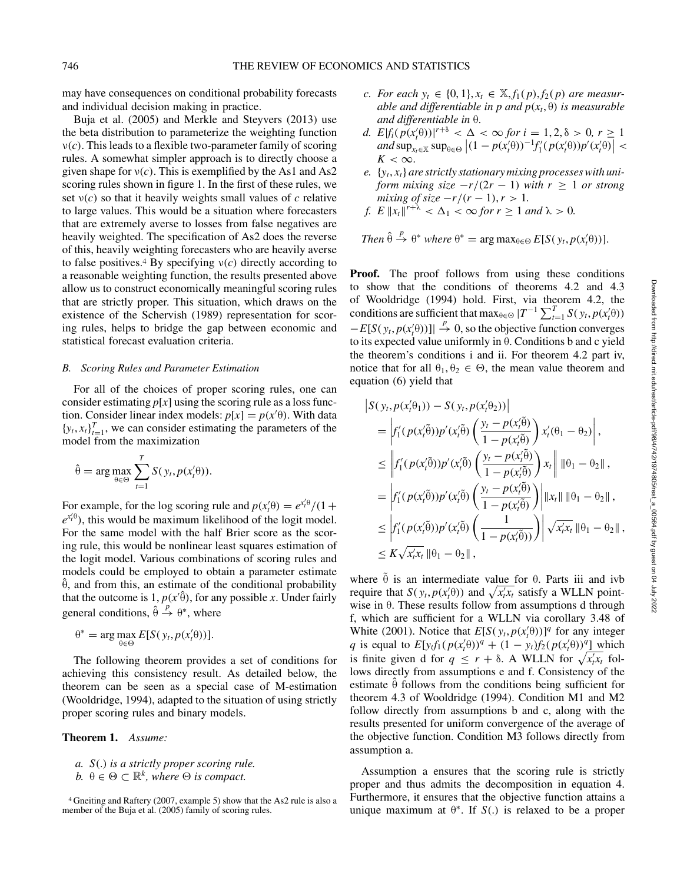may have consequences on conditional probability forecasts and individual decision making in practice.

Buja et al. (2005) and Merkle and Steyvers (2013) use the beta distribution to parameterize the weighting function ν*(c)*. This leads to a flexible two-parameter family of scoring rules. A somewhat simpler approach is to directly choose a given shape for  $v(c)$ . This is exemplified by the As1 and As2 scoring rules shown in figure 1. In the first of these rules, we set ν*(c)* so that it heavily weights small values of *c* relative to large values. This would be a situation where forecasters that are extremely averse to losses from false negatives are heavily weighted. The specification of As2 does the reverse of this, heavily weighting forecasters who are heavily averse to false positives.<sup>4</sup> By specifying  $v(c)$  directly according to a reasonable weighting function, the results presented above allow us to construct economically meaningful scoring rules that are strictly proper. This situation, which draws on the existence of the Schervish (1989) representation for scoring rules, helps to bridge the gap between economic and statistical forecast evaluation criteria.

# *B. Scoring Rules and Parameter Estimation*

For all of the choices of proper scoring rules, one can consider estimating  $p[x]$  using the scoring rule as a loss function. Consider linear index models:  $p[x] = p(x|\theta)$ . With data  ${y_t, x_t}_{t=1}^T$ , we can consider estimating the parameters of the model from the maximization

$$
\hat{\theta} = \arg \max_{\theta \in \Theta} \sum_{t=1}^{T} S(y_t, p(x'_t \theta)).
$$

For example, for the log scoring rule and  $p(x'_t\theta) = e^{x'_t\theta}/(1 +$  $e^{x'_t \theta}$ , this would be maximum likelihood of the logit model. For the same model with the half Brier score as the scoring rule, this would be nonlinear least squares estimation of the logit model. Various combinations of scoring rules and models could be employed to obtain a parameter estimate  $\hat{\theta}$ , and from this, an estimate of the conditional probability that the outcome is  $1, p(x|\hat{\theta})$ , for any possible *x*. Under fairly general conditions,  $\hat{\theta} \stackrel{p}{\rightarrow} \theta^*$ , where

$$
\theta^* = \arg \max_{\theta \in \Theta} E[S(y_t, p(x_t^{\prime}\theta))].
$$

The following theorem provides a set of conditions for achieving this consistency result. As detailed below, the theorem can be seen as a special case of M-estimation (Wooldridge, 1994), adapted to the situation of using strictly proper scoring rules and binary models.

**Theorem 1.** *Assume:*

*a. S(*.*) is a strictly proper scoring rule. b.*  $θ ∈ Θ ⊂ \mathbb{R}^k$ *, where*  $Θ$  *is compact.* 

- *c. For each*  $y_t$  ∈ {0, 1},  $x_t$  ∈  $\mathbb{X}$ ,  $f_1(p)$ ,  $f_2(p)$  *are measurable and differentiable in p and*  $p(x_t, \theta)$  *<i>is measurable and differentiable in* θ.
- *d.*  $E|f_i(p(x_i\theta))|^{r+\delta} < \Delta < \infty$  for  $i = 1, 2, \delta > 0, r \ge 1$  $\int_{K}^{H} p(x_t | \theta) p(x_t | \theta) - p(x_t | \theta) p'(x_t | \theta)$  $K < \infty$ .
- *e.* {*yt*, *xt*} *are strictly stationary mixing processes with uniform mixing size*  $-r/(2r - 1)$  *with*  $r \geq 1$  *or strong mixing of size*  $-r/(r-1)$ ,  $r > 1$ .
- *f.*  $E \Vert x_t \Vert^{r+\lambda} < \Delta_1 < \infty$  *for*  $r \ge 1$  *and*  $\lambda > 0$ *.*

Then 
$$
\hat{\theta} \stackrel{p}{\rightarrow} \theta^*
$$
 where  $\theta^* = \arg \max_{\theta \in \Theta} E[S(y_t, p(x_t^{\prime}\theta))].$ 

**Proof.** The proof follows from using these conditions to show that the conditions of theorems 4.2 and 4.3 of Wooldridge (1994) hold. First, via theorem 4.2, the conditions are sufficient that max $_{\theta \in \Theta}$   $|T^{-1} \sum_{t=1}^{T} S(y_t, p(x_t^{\prime} \theta))|$  $-E[S(y_t, p(x'_t\theta))] \rightarrow 0$ , so the objective function converges to its expected value uniformly in θ. Conditions b and c yield the theorem's conditions i and ii. For theorem 4.2 part iv, notice that for all  $\theta_1, \theta_2 \in \Theta$ , the mean value theorem and equation (6) yield that

$$
\begin{split}\n& \left| S(y_t, p(x_t'\theta_1)) - S(y_t, p(x_t'\theta_2)) \right| \\
&= \left| f_1'(p(x_t'\theta)) p'(x_t'\theta) \left( \frac{y_t - p(x_t'\theta)}{1 - p(x_t'\theta)} \right) x_t'(\theta_1 - \theta_2) \right|, \\
&\leq \left| f_1'(p(x_t'\theta)) p'(x_t'\theta) \left( \frac{y_t - p(x_t'\theta)}{1 - p(x_t'\theta)} \right) x_t \right| \left\| \theta_1 - \theta_2 \right\|, \\
&= \left| f_1'(p(x_t'\theta)) p'(x_t'\theta) \left( \frac{y_t - p(x_t'\theta)}{1 - p(x_t'\theta)} \right) \right| \left\| x_t \right\| \left\| \theta_1 - \theta_2 \right\|, \\
&\leq \left| f_1'(p(x_t'\theta)) p'(x_t'\theta) \left( \frac{1}{1 - p(x_t'\theta)} \right) \right| \sqrt{x_t' x_t} \left\| \theta_1 - \theta_2 \right\|, \\
&\leq K \sqrt{x_t' x_t} \left\| \theta_1 - \theta_2 \right\|,\n\end{split}
$$

where  $\tilde{\theta}$  is an intermediate value for  $\theta$ . Parts iii and ivb require that  $S(y_t, p(x_t|\theta))$  and  $\sqrt{x_t x_t}$  satisfy a WLLN pointwise in θ. These results follow from assumptions d through f, which are sufficient for a WLLN via corollary 3.48 of White (2001). Notice that  $E[S(y_t, p(x_t/\theta))]^q$  for any integer *q* is equal to  $E[y_t f_1(p(x_t' \theta))^q + (1 - y_t) f_2(p(x_t' \theta))^q]$  which is finite given d for  $q \leq r + \delta$ . A WLLN for  $\sqrt{x_i x_i}$  follows directly from assumptions e and f. Consistency of the estimate  $\hat{\theta}$  follows from the conditions being sufficient for theorem 4.3 of Wooldridge (1994). Condition M1 and M2 follow directly from assumptions b and c, along with the results presented for uniform convergence of the average of the objective function. Condition M3 follows directly from assumption a.

Assumption a ensures that the scoring rule is strictly proper and thus admits the decomposition in equation 4. Furthermore, it ensures that the objective function attains a unique maximum at  $\theta^*$ . If *S*(.) is relaxed to be a proper

<sup>4</sup> Gneiting and Raftery (2007, example 5) show that the As2 rule is also a member of the Buja et al. (2005) family of scoring rules.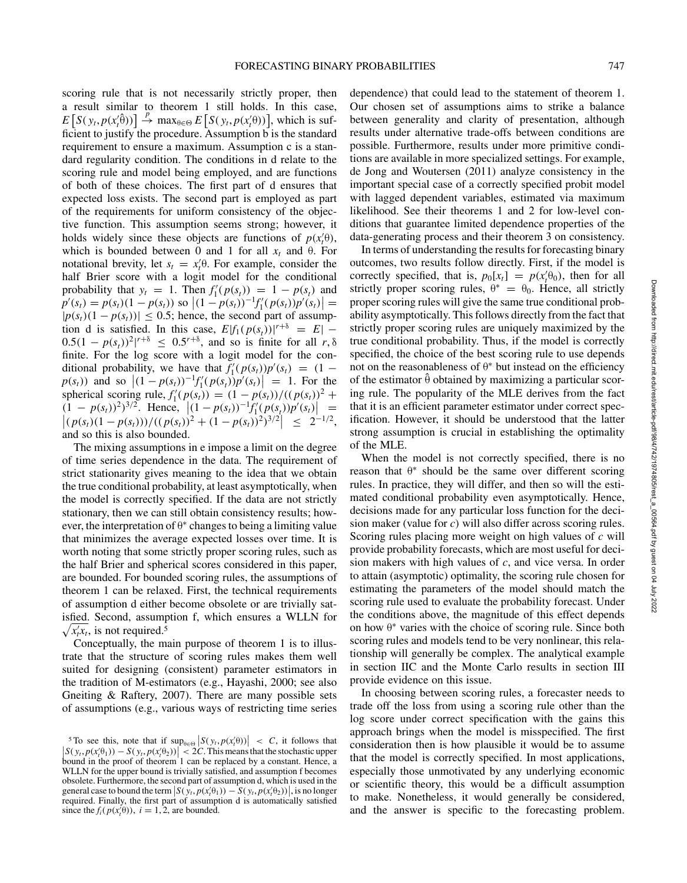scoring rule that is not necessarily strictly proper, then a result similar to theorem 1 still holds. In this case,  $E\left[S(y_t, p(x_t^j \hat{\theta}))\right] \stackrel{p}{\rightarrow} \max_{\theta \in \Theta} E\left[S(y_t, p(x_t^j \theta))\right]$ , which is sufficient to justify the procedure. Assumption b is the standard requirement to ensure a maximum. Assumption c is a standard regularity condition. The conditions in d relate to the scoring rule and model being employed, and are functions of both of these choices. The first part of d ensures that expected loss exists. The second part is employed as part of the requirements for uniform consistency of the objective function. This assumption seems strong; however, it holds widely since these objects are functions of  $p(x_t^1\theta)$ , which is bounded between 0 and 1 for all  $x_t$  and  $\theta$ . For notational brevity, let  $s_t = x'_t \theta$ . For example, consider the half Brier score with a logit model for the conditional probability that  $y_t = 1$ . Then  $f'_1(p(s_t)) = 1 - p(s_t)$  and  $p'(s_t) = p(s_t)(1 - p(s_t))$  so  $|(1 - p(s_t))^{-1}f'_1(p(s_t))p'(s_t)| =$  $|p(s_t)(1 - p(s_t))| \le 0.5$ ; hence, the second part of assumption d is satisfied. In this case,  $E[f_1(p(s_t))]^{r+\delta} = E$ | −  $0.5(1 - p(s<sub>t</sub>))^{2}|^{r+δ}$  ≤ 0.5<sup>*r*+δ</sup>, and so is finite for all *r*, δ finite. For the log score with a logit model for the conditional probability, we have that  $f'_1(p(s_t))p'(s_t) = (1$  $p(s_t)$ ) and so  $|(1 - p(s_t))^{-1} f'_1(p(s_t)) p'(s_t)| = 1$ . For the spherical scoring rule,  $f'_1(p(s_t)) = (1 - p(s_t))/(p(s_t))^2 +$  $(1 - p(s_t))^2)^{3/2}$ . Hence,  $|(1 - p(s_t))^{-1}f'_1(p(s_t))p'(s_t)| =$ <br> $|(p(s_t)(1 - p(s_t)))/((p(s_t))^2 + (1 - p(s_t))^2)^{3/2}| \leq 2^{-1/2}$ ,  $\Big| \leq 2^{-1/2},$ and so this is also bounded.

The mixing assumptions in e impose a limit on the degree of time series dependence in the data. The requirement of strict stationarity gives meaning to the idea that we obtain the true conditional probability, at least asymptotically, when the model is correctly specified. If the data are not strictly stationary, then we can still obtain consistency results; however, the interpretation of  $\theta^*$  changes to being a limiting value that minimizes the average expected losses over time. It is worth noting that some strictly proper scoring rules, such as the half Brier and spherical scores considered in this paper, are bounded. For bounded scoring rules, the assumptions of theorem 1 can be relaxed. First, the technical requirements of assumption d either become obsolete or are trivially satisfied. Second, assumption f, which ensures a WLLN for  $\sqrt{x'_t x_t}$ , is not required.<sup>5</sup>

Conceptually, the main purpose of theorem 1 is to illustrate that the structure of scoring rules makes them well suited for designing (consistent) parameter estimators in the tradition of M-estimators (e.g., Hayashi, 2000; see also Gneiting & Raftery, 2007). There are many possible sets of assumptions (e.g., various ways of restricting time series

dependence) that could lead to the statement of theorem 1. Our chosen set of assumptions aims to strike a balance between generality and clarity of presentation, although results under alternative trade-offs between conditions are possible. Furthermore, results under more primitive conditions are available in more specialized settings. For example, de Jong and Woutersen (2011) analyze consistency in the important special case of a correctly specified probit model with lagged dependent variables, estimated via maximum likelihood. See their theorems 1 and 2 for low-level conditions that guarantee limited dependence properties of the data-generating process and their theorem 3 on consistency.

In terms of understanding the results for forecasting binary outcomes, two results follow directly. First, if the model is correctly specified, that is,  $p_0[x_t] = p(x_t^{\prime} \theta_0)$ , then for all strictly proper scoring rules,  $\theta^* = \theta_0$ . Hence, all strictly proper scoring rules will give the same true conditional probability asymptotically. This follows directly from the fact that strictly proper scoring rules are uniquely maximized by the true conditional probability. Thus, if the model is correctly specified, the choice of the best scoring rule to use depends not on the reasonableness of  $θ^*$  but instead on the efficiency of the estimator  $\hat{\theta}$  obtained by maximizing a particular scoring rule. The popularity of the MLE derives from the fact that it is an efficient parameter estimator under correct specification. However, it should be understood that the latter strong assumption is crucial in establishing the optimality of the MLE.

When the model is not correctly specified, there is no reason that  $\theta^*$  should be the same over different scoring rules. In practice, they will differ, and then so will the estimated conditional probability even asymptotically. Hence, decisions made for any particular loss function for the decision maker (value for *c)* will also differ across scoring rules. Scoring rules placing more weight on high values of *c* will provide probability forecasts, which are most useful for decision makers with high values of *c*, and vice versa. In order to attain (asymptotic) optimality, the scoring rule chosen for estimating the parameters of the model should match the scoring rule used to evaluate the probability forecast. Under the conditions above, the magnitude of this effect depends on how  $\theta^*$  varies with the choice of scoring rule. Since both scoring rules and models tend to be very nonlinear, this relationship will generally be complex. The analytical example in section IIC and the Monte Carlo results in section III provide evidence on this issue.

In choosing between scoring rules, a forecaster needs to trade off the loss from using a scoring rule other than the log score under correct specification with the gains this approach brings when the model is misspecified. The first consideration then is how plausible it would be to assume that the model is correctly specified. In most applications, especially those unmotivated by any underlying economic or scientific theory, this would be a difficult assumption to make. Nonetheless, it would generally be considered, and the answer is specific to the forecasting problem.

<sup>&</sup>lt;sup>5</sup>To see this, note that if  $\sup_{\theta \in \Theta} |S(y_t, p(x_t^{\theta}))| < C$ , it follows that  $\left| S(y_t, p(x_t \theta_1)) - S(y_t, p(x_t \theta_2)) \right| < 2C$ . This means that the stochastic upper bound in the proof of theorem 1 can be replaced by a constant. Hence, a WLLN for the upper bound is trivially satisfied, and assumption f becomes obsolete. Furthermore, the second part of assumption d, which is used in the general case to bound the term  $\left| S(y_t, p(x_t/\theta_1)) - S(y_t, p(x_t/\theta_2)) \right|$ , is no longer required. Finally, the first part of essentiation d is outerpretically estimated required. Finally, the first part of assumption d is automatically satisfied since the  $f_i(p(x_i/\theta))$ ,  $i = 1, 2$ , are bounded.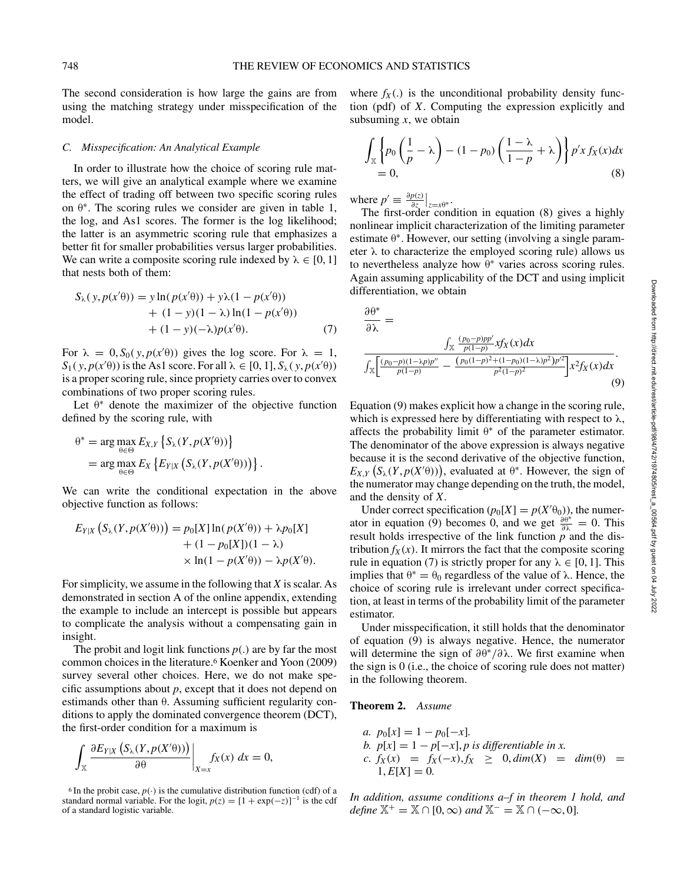The second consideration is how large the gains are from using the matching strategy under misspecification of the model.

## *C. Misspecification: An Analytical Example*

In order to illustrate how the choice of scoring rule matters, we will give an analytical example where we examine the effect of trading off between two specific scoring rules on  $\theta^*$ . The scoring rules we consider are given in table 1, the log, and As1 scores. The former is the log likelihood; the latter is an asymmetric scoring rule that emphasizes a better fit for smaller probabilities versus larger probabilities. We can write a composite scoring rule indexed by  $\lambda \in [0, 1]$ that nests both of them:

$$
S_{\lambda}(y, p(x'\theta)) = y \ln(p(x'\theta)) + y\lambda(1 - p(x'\theta))
$$
  
+ (1 - y)(1 - \lambda) \ln(1 - p(x'\theta))  
+ (1 - y)(-\lambda)p(x'\theta). (7)

For  $\lambda = 0$ ,  $S_0(y, p(x|\theta))$  gives the log score. For  $\lambda = 1$ ,  $S_1(y, p(x|\theta))$  is the As1 score. For all  $\lambda \in [0, 1]$ ,  $S_\lambda(y, p(x|\theta))$ is a proper scoring rule, since propriety carries over to convex combinations of two proper scoring rules.

Let  $\theta^*$  denote the maximizer of the objective function defined by the scoring rule, with

$$
\theta^* = \arg \max_{\theta \in \Theta} E_{X,Y} \left\{ S_{\lambda}(Y, p(X'\theta)) \right\}
$$
  
= 
$$
\arg \max_{\theta \in \Theta} E_X \left\{ E_{Y|X} \left( S_{\lambda}(Y, p(X'\theta)) \right) \right\}.
$$

We can write the conditional expectation in the above objective function as follows:

$$
E_{Y|X} (S_{\lambda}(Y, p(X'\theta))) = p_0[X] \ln(p(X'\theta)) + \lambda p_0[X]
$$
  
+ (1 - p\_0[X])(1 - \lambda)  

$$
\times \ln(1 - p(X'\theta)) - \lambda p(X'\theta).
$$

For simplicity, we assume in the following that *X* is scalar. As demonstrated in section A of the online appendix, extending the example to include an intercept is possible but appears to complicate the analysis without a compensating gain in insight.

The probit and logit link functions *p(*.*)* are by far the most common choices in the literature.6 Koenker and Yoon (2009) survey several other choices. Here, we do not make specific assumptions about *p*, except that it does not depend on estimands other than θ. Assuming sufficient regularity conditions to apply the dominated convergence theorem (DCT), the first-order condition for a maximum is

$$
\int_{\mathbb{X}} \frac{\partial E_{Y|X} \left( S_{\lambda}(Y, p(X'\theta)) \right)}{\partial \theta} \bigg|_{X=x} f_X(x) \, dx = 0,
$$

<sup>6</sup> In the probit case,  $p(\cdot)$  is the cumulative distribution function (cdf) of a standard normal variable. For the logit,  $p(z) = [1 + \exp(-z)]^{-1}$  is the cdf of a standard logistic variable.

where  $f_X(.)$  is the unconditional probability density function (pdf) of *X*. Computing the expression explicitly and subsuming *x*, we obtain

$$
\int_{\mathbb{X}} \left\{ p_0 \left( \frac{1}{p} - \lambda \right) - (1 - p_0) \left( \frac{1 - \lambda}{1 - p} + \lambda \right) \right\} p' x f_X(x) dx
$$
  
= 0, (8)

where  $p' \equiv \frac{\partial p(z)}{\partial z}\Big|_{z=x\theta^*}$ .

The first-order condition in equation (8) gives a highly nonlinear implicit characterization of the limiting parameter estimate  $\theta^*$ . However, our setting (involving a single parameter  $\lambda$  to characterize the employed scoring rule) allows us to nevertheless analyze how  $\theta^*$  varies across scoring rules. Again assuming applicability of the DCT and using implicit differentiation, we obtain

$$
\frac{\partial \theta^*}{\partial \lambda} = \frac{\int_{\mathbb{X}} \frac{(p_0 - p)pp'}{p(1-p)} x f_X(x) dx}{\int_{\mathbb{X}} \left[ \frac{(p_0 - p)(1 - \lambda pp')'}{p(1-p)} - \frac{(p_0(1-p)^2 + (1-p_0)(1 - \lambda)p^2)p'^2}{p^2(1-p)^2} \right] x^2 f_X(x) dx}.
$$
\n(9)

Equation (9) makes explicit how a change in the scoring rule, which is expressed here by differentiating with respect to  $\lambda$ , affects the probability limit  $\theta^*$  of the parameter estimator. The denominator of the above expression is always negative because it is the second derivative of the objective function,  $E_{X,Y}$   $(S_{\lambda}(Y, p(X' \theta)))$ , evaluated at  $\theta^*$ . However, the sign of the numerator may change depending on the truth, the model, and the density of *X*.

Under correct specification  $(p_0[X] = p(X'\theta_0))$ , the numerator in equation (9) becomes 0, and we get  $\frac{\partial \theta^*}{\partial \lambda} = 0$ . This result holds irrespective of the link function  $p$  and the distribution  $f_X(x)$ . It mirrors the fact that the composite scoring rule in equation (7) is strictly proper for any  $\lambda \in [0, 1]$ . This implies that  $\theta^* = \theta_0$  regardless of the value of  $\lambda$ . Hence, the choice of scoring rule is irrelevant under correct specification, at least in terms of the probability limit of the parameter estimator.

Under misspecification, it still holds that the denominator of equation (9) is always negative. Hence, the numerator will determine the sign of *∂*θ<sup>∗</sup>*/∂*λ. We first examine when the sign is 0 (i.e., the choice of scoring rule does not matter) in the following theorem.

# **Theorem 2.** *Assume*

a. 
$$
p_0[x] = 1 - p_0[-x]
$$
.  
\nb.  $p[x] = 1 - p[-x]$ , p is differentiable in x.  
\nc.  $f_X(x) = f_X(-x)$ ,  $f_X \ge 0$ ,  $dim(X) = dim(\theta) = 1$ ,  $E[X] = 0$ .

*In addition, assume conditions a–f in theorem 1 hold, and define*  $\mathbb{X}^+ = \mathbb{X} \cap [0, \infty)$  *and*  $\mathbb{X}^- = \mathbb{X} \cap (-\infty, 0]$ *.*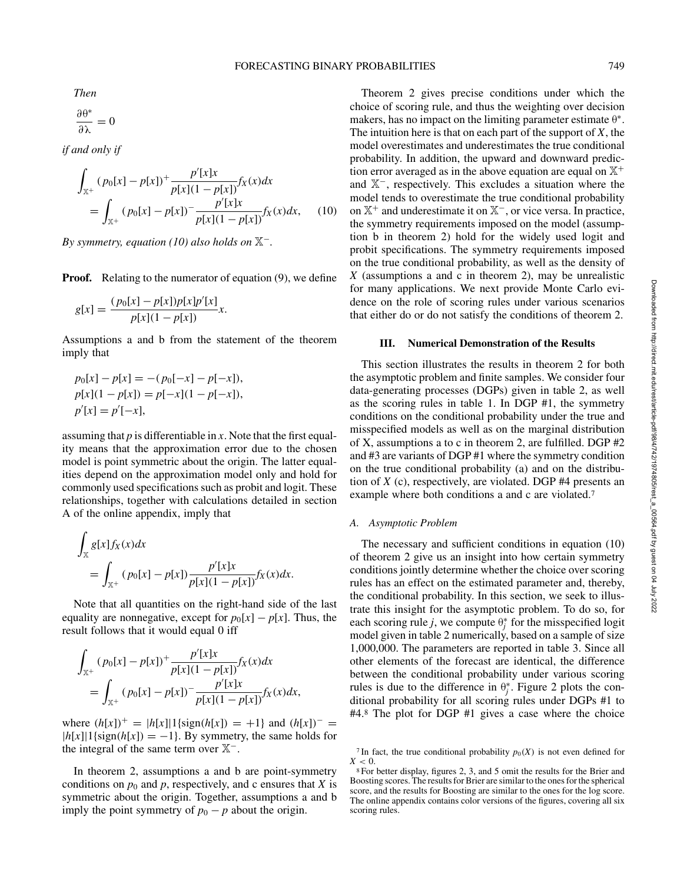*Then*

$$
\frac{\partial \theta^*}{\partial \lambda} = 0
$$

*if and only if*

$$
\int_{\mathbb{X}^+} (p_0[x] - p[x])^+ \frac{p'[x]x}{p[x](1 - p[x])} f_X(x) dx
$$
\n
$$
= \int_{\mathbb{X}^+} (p_0[x] - p[x])^- \frac{p'[x]x}{p[x](1 - p[x])} f_X(x) dx, \quad (10)
$$

*By symmetry, equation (10) also holds on*  $\mathbb{X}$ <sup>−</sup>.

**Proof.** Relating to the numerator of equation (9), we define

$$
g[x] = \frac{(p_0[x] - p[x])p[x]p'[x]}{p[x](1 - p[x])}x.
$$

Assumptions a and b from the statement of the theorem imply that

$$
p_0[x] - p[x] = -(p_0[-x] - p[-x]),
$$
  
\n
$$
p[x](1 - p[x]) = p[-x](1 - p[-x]),
$$
  
\n
$$
p'[x] = p'[-x],
$$

assuming that *p* is differentiable in *x*. Note that the first equality means that the approximation error due to the chosen model is point symmetric about the origin. The latter equalities depend on the approximation model only and hold for commonly used specifications such as probit and logit. These relationships, together with calculations detailed in section A of the online appendix, imply that

$$
\int_{\mathbb{X}} g[x] f_X(x) dx
$$
\n
$$
= \int_{\mathbb{X}^+} (p_0[x] - p[x]) \frac{p'[x]x}{p[x](1 - p[x])} f_X(x) dx.
$$

Note that all quantities on the right-hand side of the last equality are nonnegative, except for  $p_0[x] - p[x]$ . Thus, the result follows that it would equal 0 iff

$$
\int_{\mathbb{X}^+} (p_0[x] - p[x])^+ \frac{p'[x]x}{p[x](1 - p[x])} f_X(x) dx
$$
  
= 
$$
\int_{\mathbb{X}^+} (p_0[x] - p[x])^- \frac{p'[x]x}{p[x](1 - p[x])} f_X(x) dx,
$$

where  $(h[x])^{+} = |h[x]|1$ {sign $(h[x]) = +1$ } and  $(h[x])^{-} =$  $|h[x]|1$ {sign $(h[x]) = -1$ }. By symmetry, the same holds for the integral of the same term over X<sup>−</sup>.

In theorem 2, assumptions a and b are point-symmetry conditions on  $p_0$  and  $p$ , respectively, and c ensures that  $X$  is symmetric about the origin. Together, assumptions a and b imply the point symmetry of  $p_0 - p$  about the origin.

Theorem 2 gives precise conditions under which the choice of scoring rule, and thus the weighting over decision makers, has no impact on the limiting parameter estimate  $\theta^*$ . The intuition here is that on each part of the support of *X*, the model overestimates and underestimates the true conditional probability. In addition, the upward and downward prediction error averaged as in the above equation are equal on  $\mathbb{X}^+$ and X<sup>−</sup>, respectively. This excludes a situation where the model tends to overestimate the true conditional probability on X<sup>+</sup> and underestimate it on X<sup>−</sup>, or vice versa. In practice, the symmetry requirements imposed on the model (assumption b in theorem 2) hold for the widely used logit and probit specifications. The symmetry requirements imposed on the true conditional probability, as well as the density of *X* (assumptions a and c in theorem 2), may be unrealistic for many applications. We next provide Monte Carlo evidence on the role of scoring rules under various scenarios that either do or do not satisfy the conditions of theorem 2.

# **III. Numerical Demonstration of the Results**

This section illustrates the results in theorem 2 for both the asymptotic problem and finite samples. We consider four data-generating processes (DGPs) given in table 2, as well as the scoring rules in table 1. In DGP #1, the symmetry conditions on the conditional probability under the true and misspecified models as well as on the marginal distribution of X, assumptions a to c in theorem 2, are fulfilled. DGP #2 and #3 are variants of DGP #1 where the symmetry condition on the true conditional probability (a) and on the distribution of *X* (c), respectively, are violated. DGP #4 presents an example where both conditions a and c are violated.<sup>7</sup>

## *A. Asymptotic Problem*

The necessary and sufficient conditions in equation (10) of theorem 2 give us an insight into how certain symmetry conditions jointly determine whether the choice over scoring rules has an effect on the estimated parameter and, thereby, the conditional probability. In this section, we seek to illustrate this insight for the asymptotic problem. To do so, for each scoring rule *j*, we compute  $\theta_j^*$  for the misspecified logit model given in table 2 numerically, based on a sample of size 1,000,000. The parameters are reported in table 3. Since all other elements of the forecast are identical, the difference between the conditional probability under various scoring rules is due to the difference in  $\theta_j^*$ . Figure 2 plots the conditional probability for all scoring rules under DGPs #1 to #4.8 The plot for DGP #1 gives a case where the choice

<sup>&</sup>lt;sup>7</sup>In fact, the true conditional probability  $p_0(X)$  is not even defined for  $X < 0$ .

<sup>8</sup> For better display, figures 2, 3, and 5 omit the results for the Brier and Boosting scores. The results for Brier are similar to the ones for the spherical score, and the results for Boosting are similar to the ones for the log score. The online appendix contains color versions of the figures, covering all six scoring rules.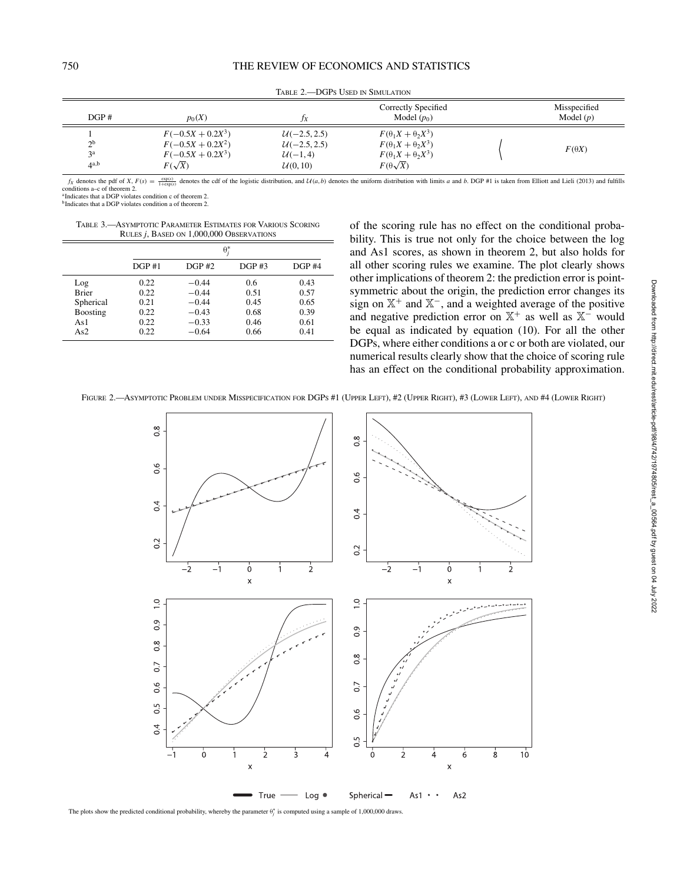| $\overline{DGP}$ #                                 | $p_0(X)$                                                                           | JX                                                         | Correctly Specified<br>Model $(p_0)$                                                                                      | Misspecified<br>Model $(p)$ |
|----------------------------------------------------|------------------------------------------------------------------------------------|------------------------------------------------------------|---------------------------------------------------------------------------------------------------------------------------|-----------------------------|
| $\gamma$ <sub>b</sub><br>$\mathbf{a}$<br>$4^{a,b}$ | $F(-0.5X + 0.2X^3)$<br>$F(-0.5X + 0.2X^2)$<br>$F(-0.5X + 0.2X^3)$<br>$F(\sqrt{X})$ | $U(-2.5, 2.5)$<br>$U(-2.5, 2.5)$<br>$U(-1, 4)$<br>U(0, 10) | $F(\theta_1 X + \theta_2 X^3)$<br>$F(\theta_1 X + \theta_2 X^3)$<br>$F(\theta_1 X + \theta_2 X^3)$<br>$F(\theta\sqrt{X})$ | $F(\theta X)$               |

Table 2.—DGPs Used in Simulation

 $f_X$  denotes the pdf of X,  $F(s) = \frac{\exp(s)}{1+\exp(s)}$  denotes the cdf of the logistic distribution, and  $U(a, b)$  denotes the uniform distribution with limits a and b. DGP #1 is taken from Elliott and Lieli (2013) and fulfills conditions a–c of theorem 2.

<sup>a</sup> Indicates that a DGP violates condition c of theorem 2.

bIndicates that a DGP violates condition a of theorem 2.

Table 3.—Asymptotic Parameter Estimates for Various Scoring Rules *j*, Based on 1,000,000 Observations

|              | $\theta_i^*$ |         |       |       |
|--------------|--------------|---------|-------|-------|
|              | DGP#1        | DGP#2   | DGP#3 | DGP#4 |
| Log          | 0.22         | $-0.44$ | 0.6   | 0.43  |
| <b>Brier</b> | 0.22         | $-0.44$ | 0.51  | 0.57  |
| Spherical    | 0.21         | $-0.44$ | 0.45  | 0.65  |
| Boosting     | 0.22         | $-0.43$ | 0.68  | 0.39  |
| As1          | 0.22         | $-0.33$ | 0.46  | 0.61  |
| As2          | 0.22         | $-0.64$ | 0.66  | 0.41  |

of the scoring rule has no effect on the conditional probability. This is true not only for the choice between the log and As1 scores, as shown in theorem 2, but also holds for all other scoring rules we examine. The plot clearly shows other implications of theorem 2: the prediction error is pointsymmetric about the origin, the prediction error changes its sign on  $X^+$  and  $X^-$ , and a weighted average of the positive and negative prediction error on  $X^+$  as well as  $X^-$  would be equal as indicated by equation (10). For all the other DGPs, where either conditions a or c or both are violated, our numerical results clearly show that the choice of scoring rule has an effect on the conditional probability approximation.

FIGURE 2.—ASYMPTOTIC PROBLEM UNDER MISSPECIFICATION FOR DGPS #1 (UPPER LEFT), #2 (UPPER RIGHT), #3 (LOWER LEFT), AND #4 (LOWER RIGHT)



The plots show the predicted conditional probability, whereby the parameter  $θ<sub>j</sub><sup>*</sup>$  is computed using a sample of 1,000,000 draws.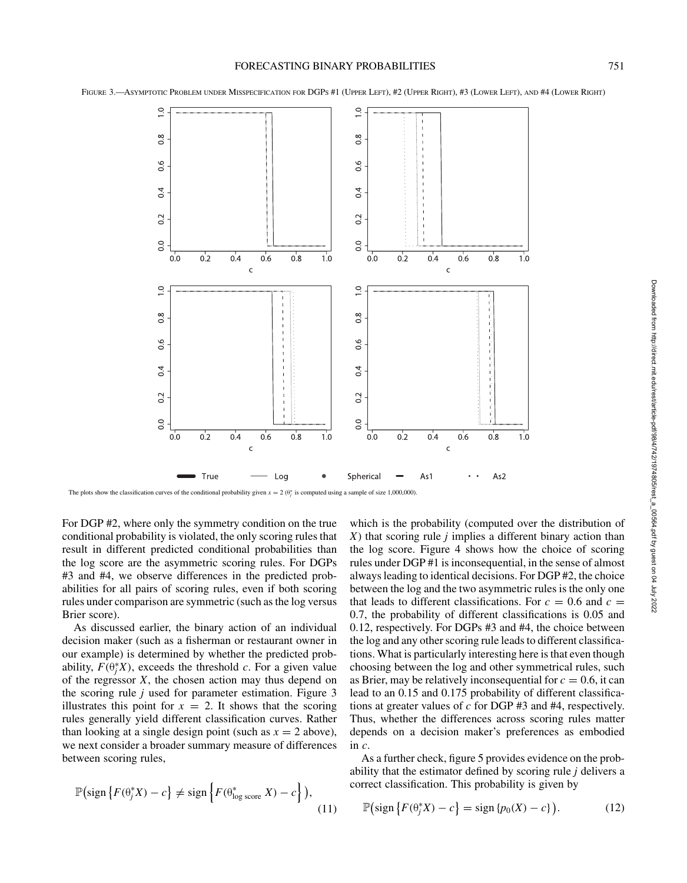FIGURE 3.—ASYMPTOTIC PROBLEM UNDER MISSPECIFICATION FOR DGPS #1 (UPPER LEFT), #2 (UPPER RIGHT), #3 (LOWER LEFT), AND #4 (LOWER RIGHT)



The plots show the classification curves of the conditional probability given  $x = 2 \left(\theta_j^* \right)$  is computed using a sample of size 1,000,000).

For DGP #2, where only the symmetry condition on the true conditional probability is violated, the only scoring rules that result in different predicted conditional probabilities than the log score are the asymmetric scoring rules. For DGPs #3 and #4, we observe differences in the predicted probabilities for all pairs of scoring rules, even if both scoring rules under comparison are symmetric (such as the log versus Brier score).

As discussed earlier, the binary action of an individual decision maker (such as a fisherman or restaurant owner in our example) is determined by whether the predicted probability,  $F(\theta_j^*X)$ , exceeds the threshold *c*. For a given value of the regressor *X*, the chosen action may thus depend on the scoring rule *j* used for parameter estimation. Figure 3 illustrates this point for  $x = 2$ . It shows that the scoring rules generally yield different classification curves. Rather than looking at a single design point (such as  $x = 2$  above), we next consider a broader summary measure of differences between scoring rules,

$$
\mathbb{P}\big(\text{sign}\left\{F(\theta_j^*X) - c\right\} \neq \text{sign}\left\{F(\theta_{\text{log score}}^* X) - c\right\}\big),\tag{11}
$$

which is the probability (computed over the distribution of *X*) that scoring rule *j* implies a different binary action than the log score. Figure 4 shows how the choice of scoring rules under DGP #1 is inconsequential, in the sense of almost always leading to identical decisions. For DGP #2, the choice between the log and the two asymmetric rules is the only one that leads to different classifications. For  $c = 0.6$  and  $c =$ 0.7, the probability of different classifications is 0.05 and 0.12, respectively. For DGPs #3 and #4, the choice between the log and any other scoring rule leads to different classifications. What is particularly interesting here is that even though choosing between the log and other symmetrical rules, such as Brier, may be relatively inconsequential for  $c = 0.6$ , it can lead to an 0.15 and 0.175 probability of different classifications at greater values of *c* for DGP #3 and #4, respectively. Thus, whether the differences across scoring rules matter depends on a decision maker's preferences as embodied in *c*.

As a further check, figure 5 provides evidence on the probability that the estimator defined by scoring rule *j* delivers a correct classification. This probability is given by

$$
\mathbb{P}\big(\text{sign}\left\{F(\theta_j^*X) - c\right\} = \text{sign}\left\{p_0(X) - c\right\}\big). \tag{12}
$$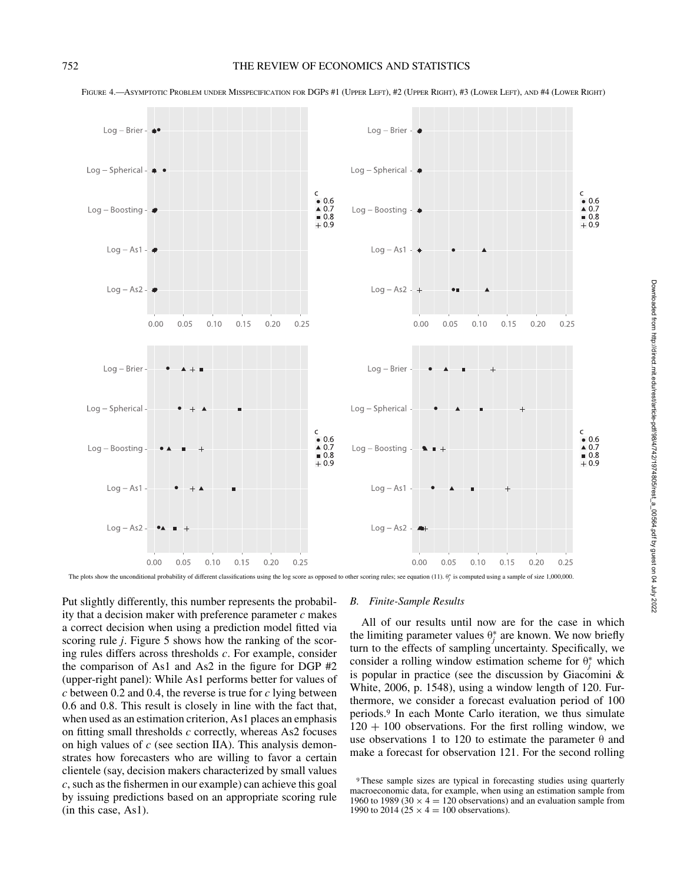

FIGURE 4.—ASYMPTOTIC PROBLEM UNDER MISSPECIFICATION FOR DGPS #1 (UPPER LEFT), #2 (UPPER RIGHT), #3 (LOWER LEFT), AND #4 (LOWER RIGHT)

The plots show the unconditional probability of different classifications using the log score as opposed to other scoring rules; see equation (11).  $\theta_i^*$  is computed using a sample of size 1,000,000.

Put slightly differently, this number represents the probability that a decision maker with preference parameter *c* makes a correct decision when using a prediction model fitted via scoring rule *j*. Figure 5 shows how the ranking of the scoring rules differs across thresholds *c*. For example, consider the comparison of As1 and As2 in the figure for DGP #2 (upper-right panel): While As1 performs better for values of *c* between 0.2 and 0.4, the reverse is true for *c* lying between 0.6 and 0.8. This result is closely in line with the fact that, when used as an estimation criterion, As1 places an emphasis on fitting small thresholds *c* correctly, whereas As2 focuses on high values of *c* (see section IIA). This analysis demonstrates how forecasters who are willing to favor a certain clientele (say, decision makers characterized by small values *c*, such as the fishermen in our example) can achieve this goal by issuing predictions based on an appropriate scoring rule (in this case, As1).

# *B. Finite-Sample Results*

All of our results until now are for the case in which the limiting parameter values  $\theta_j^*$  are known. We now briefly turn to the effects of sampling uncertainty. Specifically, we consider a rolling window estimation scheme for  $\theta_j^*$  which is popular in practice (see the discussion by Giacomini & White, 2006, p. 1548), using a window length of 120. Furthermore, we consider a forecast evaluation period of 100 periods.9 In each Monte Carlo iteration, we thus simulate  $120 + 100$  observations. For the first rolling window, we use observations 1 to 120 to estimate the parameter  $\theta$  and make a forecast for observation 121. For the second rolling

<sup>9</sup> These sample sizes are typical in forecasting studies using quarterly macroeconomic data, for example, when using an estimation sample from 1960 to 1989 (30  $\times$  4 = 120 observations) and an evaluation sample from 1990 to 2014 (25  $\times$  4 = 100 observations).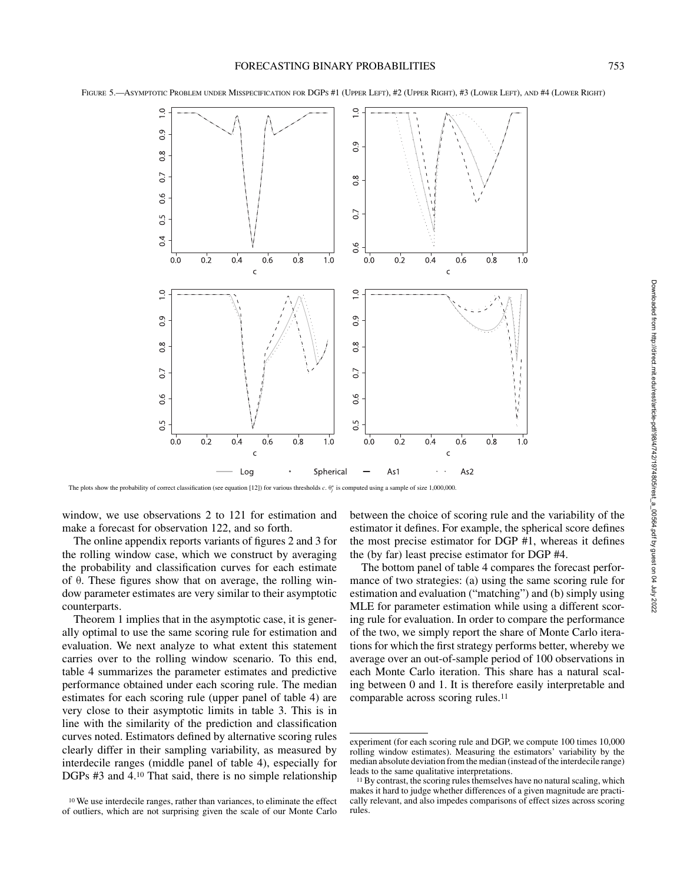

FIGURE 5.—ASYMPTOTIC PROBLEM UNDER MISSPECIFICATION FOR DGPS #1 (UPPER LEFT), #2 (UPPER RIGHT), #3 (LOWER LEFT), AND #4 (LOWER RIGHT)

The plots show the probability of correct classification (see equation [12]) for various thresholds *c*. θ<sup>\*</sup><sub>*j*</sub> is computed using a sample of size 1,000,000.

window, we use observations 2 to 121 for estimation and make a forecast for observation 122, and so forth.

The online appendix reports variants of figures 2 and 3 for the rolling window case, which we construct by averaging the probability and classification curves for each estimate of θ. These figures show that on average, the rolling window parameter estimates are very similar to their asymptotic counterparts.

Theorem 1 implies that in the asymptotic case, it is generally optimal to use the same scoring rule for estimation and evaluation. We next analyze to what extent this statement carries over to the rolling window scenario. To this end, table 4 summarizes the parameter estimates and predictive performance obtained under each scoring rule. The median estimates for each scoring rule (upper panel of table 4) are very close to their asymptotic limits in table 3. This is in line with the similarity of the prediction and classification curves noted. Estimators defined by alternative scoring rules clearly differ in their sampling variability, as measured by interdecile ranges (middle panel of table 4), especially for DGPs #3 and 4.10 That said, there is no simple relationship between the choice of scoring rule and the variability of the estimator it defines. For example, the spherical score defines the most precise estimator for DGP #1, whereas it defines the (by far) least precise estimator for DGP #4.

The bottom panel of table 4 compares the forecast performance of two strategies: (a) using the same scoring rule for estimation and evaluation ("matching") and (b) simply using MLE for parameter estimation while using a different scoring rule for evaluation. In order to compare the performance of the two, we simply report the share of Monte Carlo iterations for which the first strategy performs better, whereby we average over an out-of-sample period of 100 observations in each Monte Carlo iteration. This share has a natural scaling between 0 and 1. It is therefore easily interpretable and comparable across scoring rules.11

<sup>10</sup> We use interdecile ranges, rather than variances, to eliminate the effect of outliers, which are not surprising given the scale of our Monte Carlo

experiment (for each scoring rule and DGP, we compute 100 times 10,000 rolling window estimates). Measuring the estimators' variability by the median absolute deviation from the median (instead of the interdecile range) leads to the same qualitative interpretations.

<sup>&</sup>lt;sup>11</sup> By contrast, the scoring rules themselves have no natural scaling, which makes it hard to judge whether differences of a given magnitude are practically relevant, and also impedes comparisons of effect sizes across scoring rules.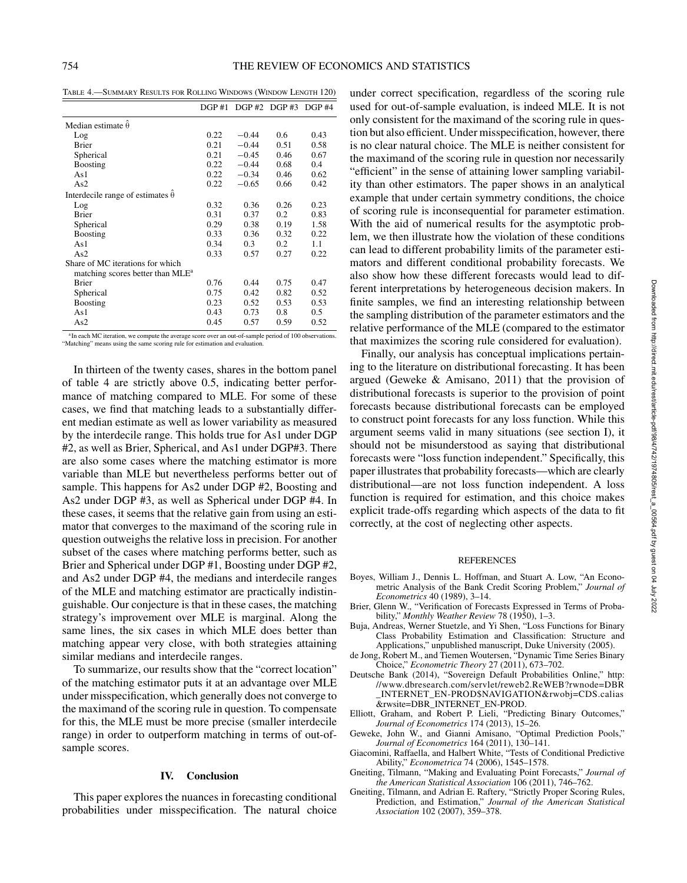Table 4.—Summary Results for Rolling Windows (Window Length 120)

|                                              | DGP#1 |         | DGP #2 DGP #3 DGP #4 |      |
|----------------------------------------------|-------|---------|----------------------|------|
| Median estimate $\hat{\theta}$               |       |         |                      |      |
| Log                                          | 0.22  | $-0.44$ | $0.6^{\circ}$        | 0.43 |
| <b>Brier</b>                                 | 0.21  | $-0.44$ | 0.51                 | 0.58 |
| Spherical                                    | 0.21  | $-0.45$ | 0.46                 | 0.67 |
| Boosting                                     | 0.22  | $-0.44$ | 0.68                 | 0.4  |
| As1                                          | 0.22  | $-0.34$ | 0.46                 | 0.62 |
| As2                                          | 0.22  | $-0.65$ | 0.66                 | 0.42 |
| Interdecile range of estimates $\theta$      |       |         |                      |      |
| Log                                          | 0.32  | 0.36    | 0.26                 | 0.23 |
| <b>Brier</b>                                 | 0.31  | 0.37    | 0.2                  | 0.83 |
| Spherical                                    | 0.29  | 0.38    | 0.19                 | 1.58 |
| <b>Boosting</b>                              | 0.33  | 0.36    | 0.32                 | 0.22 |
| As1                                          | 0.34  | 0.3     | 0.2                  | 1.1  |
| As2                                          | 0.33  | 0.57    | 0.27                 | 0.22 |
| Share of MC iterations for which             |       |         |                      |      |
| matching scores better than MLE <sup>a</sup> |       |         |                      |      |
| <b>Brier</b>                                 | 0.76  | 0.44    | 0.75                 | 0.47 |
| Spherical                                    | 0.75  | 0.42    | 0.82                 | 0.52 |
| Boosting                                     | 0.23  | 0.52    | 0.53                 | 0.53 |
| As1                                          | 0.43  | 0.73    | 0.8                  | 0.5  |
| As2                                          | 0.45  | 0.57    | 0.59                 | 0.52 |

<sup>a</sup> In each MC iteration, we compute the average score over an out-of-sample period of 100 observations. "Matching" means using the same scoring rule for estimation and evaluation.

In thirteen of the twenty cases, shares in the bottom panel of table 4 are strictly above 0.5, indicating better performance of matching compared to MLE. For some of these cases, we find that matching leads to a substantially different median estimate as well as lower variability as measured by the interdecile range. This holds true for As1 under DGP #2, as well as Brier, Spherical, and As1 under DGP#3. There are also some cases where the matching estimator is more variable than MLE but nevertheless performs better out of sample. This happens for As2 under DGP #2, Boosting and As2 under DGP #3, as well as Spherical under DGP #4. In these cases, it seems that the relative gain from using an estimator that converges to the maximand of the scoring rule in question outweighs the relative loss in precision. For another subset of the cases where matching performs better, such as Brier and Spherical under DGP #1, Boosting under DGP #2, and As2 under DGP #4, the medians and interdecile ranges of the MLE and matching estimator are practically indistinguishable. Our conjecture is that in these cases, the matching strategy's improvement over MLE is marginal. Along the same lines, the six cases in which MLE does better than matching appear very close, with both strategies attaining similar medians and interdecile ranges.

To summarize, our results show that the "correct location" of the matching estimator puts it at an advantage over MLE under misspecification, which generally does not converge to the maximand of the scoring rule in question. To compensate for this, the MLE must be more precise (smaller interdecile range) in order to outperform matching in terms of out-ofsample scores.

#### **IV. Conclusion**

This paper explores the nuances in forecasting conditional probabilities under misspecification. The natural choice

under correct specification, regardless of the scoring rule used for out-of-sample evaluation, is indeed MLE. It is not only consistent for the maximand of the scoring rule in question but also efficient. Under misspecification, however, there is no clear natural choice. The MLE is neither consistent for the maximand of the scoring rule in question nor necessarily "efficient" in the sense of attaining lower sampling variability than other estimators. The paper shows in an analytical example that under certain symmetry conditions, the choice of scoring rule is inconsequential for parameter estimation. With the aid of numerical results for the asymptotic problem, we then illustrate how the violation of these conditions can lead to different probability limits of the parameter estimators and different conditional probability forecasts. We also show how these different forecasts would lead to different interpretations by heterogeneous decision makers. In finite samples, we find an interesting relationship between the sampling distribution of the parameter estimators and the relative performance of the MLE (compared to the estimator that maximizes the scoring rule considered for evaluation).

Finally, our analysis has conceptual implications pertaining to the literature on distributional forecasting. It has been argued (Geweke & Amisano, 2011) that the provision of distributional forecasts is superior to the provision of point forecasts because distributional forecasts can be employed to construct point forecasts for any loss function. While this argument seems valid in many situations (see section I), it should not be misunderstood as saying that distributional forecasts were "loss function independent." Specifically, this paper illustrates that probability forecasts—which are clearly distributional—are not loss function independent. A loss function is required for estimation, and this choice makes explicit trade-offs regarding which aspects of the data to fit correctly, at the cost of neglecting other aspects.

#### REFERENCES

- Boyes, William J., Dennis L. Hoffman, and Stuart A. Low, "An Econometric Analysis of the Bank Credit Scoring Problem," *Journal of Econometrics* 40 (1989), 3–14.
- Brier, Glenn W., "Verification of Forecasts Expressed in Terms of Probability," *Monthly Weather Review* 78 (1950), 1–3.
- Buja, Andreas, Werner Stuetzle, and Yi Shen, "Loss Functions for Binary Class Probability Estimation and Classification: Structure and Applications," unpublished manuscript, Duke University (2005).
- de Jong, Robert M., and Tiemen Woutersen, "Dynamic Time Series Binary Choice," *Econometric Theory* 27 (2011), 673–702.
- Deutsche Bank (2014), "Sovereign Default Probabilities Online," http: //www.dbresearch.com/servlet/reweb2.ReWEB?rwnode=DBR \_INTERNET\_EN-PROD\$NAVIGATION&rwobj=CDS.calias &rwsite=DBR\_INTERNET\_EN-PROD.
- Elliott, Graham, and Robert P. Lieli, "Predicting Binary Outcomes," *Journal of Econometrics* 174 (2013), 15–26.
- Geweke, John W., and Gianni Amisano, "Optimal Prediction Pools," *Journal of Econometrics* 164 (2011), 130–141.
- Giacomini, Raffaella, and Halbert White, "Tests of Conditional Predictive Ability," *Econometrica* 74 (2006), 1545–1578.
- Gneiting, Tilmann, "Making and Evaluating Point Forecasts," *Journal of the American Statistical Association* 106 (2011), 746–762.
- Gneiting, Tilmann, and Adrian E. Raftery, "Strictly Proper Scoring Rules, Prediction, and Estimation," *Journal of the American Statistical Association* 102 (2007), 359–378.